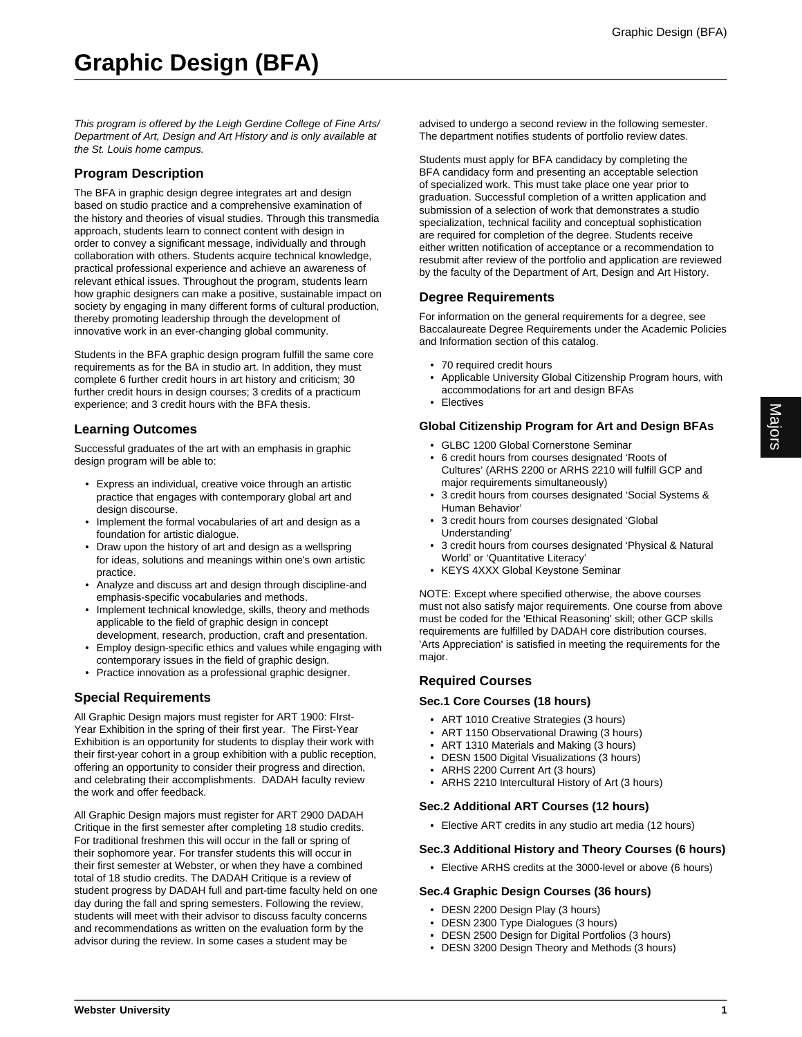This program is offered by the Leigh Gerdine College of Fine Arts/ Department of Art, Design and Art History and is only available at the St. Louis home campus.

# **Program Description**

The BFA in graphic design degree integrates art and design based on studio practice and a comprehensive examination of the history and theories of visual studies. Through this transmedia approach, students learn to connect content with design in order to convey a significant message, individually and through collaboration with others. Students acquire technical knowledge, practical professional experience and achieve an awareness of relevant ethical issues. Throughout the program, students learn how graphic designers can make a positive, sustainable impact on society by engaging in many different forms of cultural production, thereby promoting leadership through the development of innovative work in an ever-changing global community.

Students in the BFA graphic design program fulfill the same core requirements as for the BA in studio art. In addition, they must complete 6 further credit hours in art history and criticism; 30 further credit hours in design courses; 3 credits of a practicum experience; and 3 credit hours with the BFA thesis.

## **Learning Outcomes**

Successful graduates of the art with an emphasis in graphic design program will be able to:

- Express an individual, creative voice through an artistic practice that engages with contemporary global art and design discourse.
- Implement the formal vocabularies of art and design as a foundation for artistic dialogue.
- Draw upon the history of art and design as a wellspring for ideas, solutions and meanings within one's own artistic practice.
- Analyze and discuss art and design through discipline-and emphasis-specific vocabularies and methods.
- Implement technical knowledge, skills, theory and methods applicable to the field of graphic design in concept development, research, production, craft and presentation.
- Employ design-specific ethics and values while engaging with contemporary issues in the field of graphic design.
- Practice innovation as a professional graphic designer.

## **Special Requirements**

All Graphic Design majors must register for ART 1900: FIrst-Year Exhibition in the spring of their first year. The First-Year Exhibition is an opportunity for students to display their work with their first-year cohort in a group exhibition with a public reception, offering an opportunity to consider their progress and direction, and celebrating their accomplishments. DADAH faculty review the work and offer feedback.

All Graphic Design majors must register for ART 2900 DADAH Critique in the first semester after completing 18 studio credits. For traditional freshmen this will occur in the fall or spring of their sophomore year. For transfer students this will occur in their first semester at Webster, or when they have a combined total of 18 studio credits. The DADAH Critique is a review of student progress by DADAH full and part-time faculty held on one day during the fall and spring semesters. Following the review, students will meet with their advisor to discuss faculty concerns and recommendations as written on the evaluation form by the advisor during the review. In some cases a student may be

advised to undergo a second review in the following semester. The department notifies students of portfolio review dates.

Students must apply for BFA candidacy by completing the BFA candidacy form and presenting an acceptable selection of specialized work. This must take place one year prior to graduation. Successful completion of a written application and submission of a selection of work that demonstrates a studio specialization, technical facility and conceptual sophistication are required for completion of the degree. Students receive either written notification of acceptance or a recommendation to resubmit after review of the portfolio and application are reviewed by the faculty of the Department of Art, Design and Art History.

## **Degree Requirements**

For information on the general requirements for a degree, see Baccalaureate Degree Requirements under the Academic Policies and Information section of this catalog.

- 70 required credit hours
- Applicable University Global Citizenship Program hours, with accommodations for art and design BFAs
- Electives

## **Global Citizenship Program for Art and Design BFAs**

- GLBC 1200 Global Cornerstone Seminar
- 6 credit hours from courses designated 'Roots of Cultures' (ARHS 2200 or ARHS 2210 will fulfill GCP and major requirements simultaneously)
- 3 credit hours from courses designated 'Social Systems & Human Behavior'
- 3 credit hours from courses designated 'Global Understanding'
- 3 credit hours from courses designated 'Physical & Natural World' or 'Quantitative Literacy'
- KEYS 4XXX Global Keystone Seminar

NOTE: Except where specified otherwise, the above courses must not also satisfy major requirements. One course from above must be coded for the 'Ethical Reasoning' skill; other GCP skills requirements are fulfilled by DADAH core distribution courses. 'Arts Appreciation' is satisfied in meeting the requirements for the major.

## **Required Courses**

#### **Sec.1 Core Courses (18 hours)**

- ART 1010 Creative Strategies (3 hours)
- ART 1150 Observational Drawing (3 hours)
- ART 1310 Materials and Making (3 hours)
- DESN 1500 Digital Visualizations (3 hours)
- ARHS 2200 Current Art (3 hours)
- ARHS 2210 Intercultural History of Art (3 hours)

#### **Sec.2 Additional ART Courses (12 hours)**

• Elective ART credits in any studio art media (12 hours)

#### **Sec.3 Additional History and Theory Courses (6 hours)**

• Elective ARHS credits at the 3000-level or above (6 hours)

#### **Sec.4 Graphic Design Courses (36 hours)**

- DESN 2200 Design Play (3 hours)
- DESN 2300 Type Dialogues (3 hours)
- DESN 2500 Design for Digital Portfolios (3 hours)
- DESN 3200 Design Theory and Methods (3 hours)